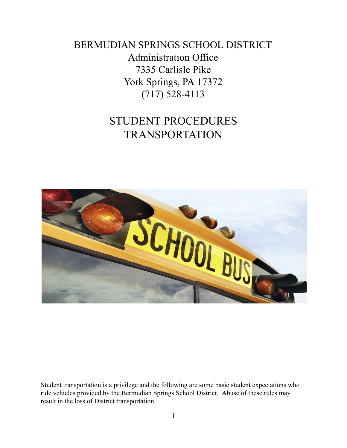BERMUDIAN SPRINGS SCHOOL DISTRICT Administration Office 7335 Carlisle Pike York Springs, PA 17372 (717) 528-4113

# STUDENT PROCEDURES TRANSPORTATION



Student transportation is a privilege and the following are some basic student expectations who ride vehicles provided by the Bermudian Springs School District. Abuse of these rules may result in the loss of District transportation.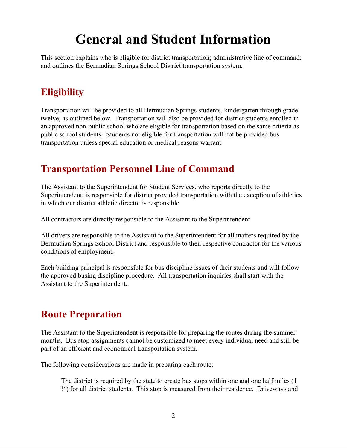# **General and Student Information**

This section explains who is eligible for district transportation; administrative line of command; and outlines the Bermudian Springs School District transportation system.

## **Eligibility**

Transportation will be provided to all Bermudian Springs students, kindergarten through grade twelve, as outlined below. Transportation will also be provided for district students enrolled in an approved non-public school who are eligible for transportation based on the same criteria as public school students. Students not eligible for transportation will not be provided bus transportation unless special education or medical reasons warrant.

## **Transportation Personnel Line of Command**

The Assistant to the Superintendent for Student Services, who reports directly to the Superintendent, is responsible for district provided transportation with the exception of athletics in which our district athletic director is responsible.

All contractors are directly responsible to the Assistant to the Superintendent.

All drivers are responsible to the Assistant to the Superintendent for all matters required by the Bermudian Springs School District and responsible to their respective contractor for the various conditions of employment.

Each building principal is responsible for bus discipline issues of their students and will follow the approved busing discipline procedure. All transportation inquiries shall start with the Assistant to the Superintendent..

# **Route Preparation**

The Assistant to the Superintendent is responsible for preparing the routes during the summer months. Bus stop assignments cannot be customized to meet every individual need and still be part of an efficient and economical transportation system.

The following considerations are made in preparing each route:

The district is required by the state to create bus stops within one and one half miles (1 ½) for all district students. This stop is measured from their residence. Driveways and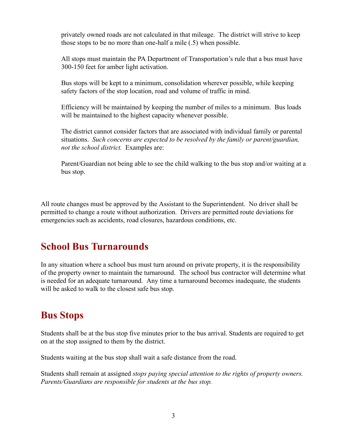privately owned roads are not calculated in that mileage. The district will strive to keep those stops to be no more than one-half a mile (.5) when possible.

All stops must maintain the PA Department of Transportation's rule that a bus must have 300-150 feet for amber light activation.

Bus stops will be kept to a minimum, consolidation wherever possible, while keeping safety factors of the stop location, road and volume of traffic in mind.

Efficiency will be maintained by keeping the number of miles to a minimum. Bus loads will be maintained to the highest capacity whenever possible.

The district cannot consider factors that are associated with individual family or parental situations. *Such concerns are expected to be resolved by the family or parent/guardian, not the school district.* Examples are:

Parent/Guardian not being able to see the child walking to the bus stop and/or waiting at a bus stop.

All route changes must be approved by the Assistant to the Superintendent. No driver shall be permitted to change a route without authorization. Drivers are permitted route deviations for emergencies such as accidents, road closures, hazardous conditions, etc.

#### **School Bus Turnarounds**

In any situation where a school bus must turn around on private property, it is the responsibility of the property owner to maintain the turnaround. The school bus contractor will determine what is needed for an adequate turnaround. Any time a turnaround becomes inadequate, the students will be asked to walk to the closest safe bus stop.

#### **Bus Stops**

Students shall be at the bus stop five minutes prior to the bus arrival. Students are required to get on at the stop assigned to them by the district.

Students waiting at the bus stop shall wait a safe distance from the road.

Students shall remain at assigned *stops paying special attention to the rights of property owners. Parents/Guardians are responsible for students at the bus stop.*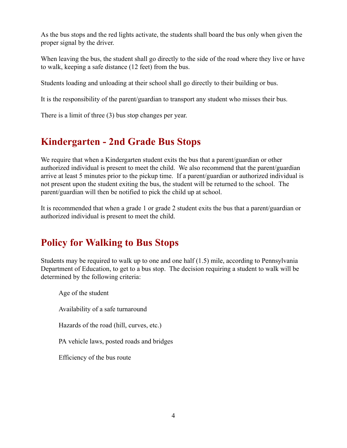As the bus stops and the red lights activate, the students shall board the bus only when given the proper signal by the driver.

When leaving the bus, the student shall go directly to the side of the road where they live or have to walk, keeping a safe distance (12 feet) from the bus.

Students loading and unloading at their school shall go directly to their building or bus.

It is the responsibility of the parent/guardian to transport any student who misses their bus.

There is a limit of three (3) bus stop changes per year.

## **Kindergarten - 2nd Grade Bus Stops**

We require that when a Kindergarten student exits the bus that a parent/guardian or other authorized individual is present to meet the child. We also recommend that the parent/guardian arrive at least 5 minutes prior to the pickup time. If a parent/guardian or authorized individual is not present upon the student exiting the bus, the student will be returned to the school. The parent/guardian will then be notified to pick the child up at school.

It is recommended that when a grade 1 or grade 2 student exits the bus that a parent/guardian or authorized individual is present to meet the child.

# **Policy for Walking to Bus Stops**

Students may be required to walk up to one and one half (1.5) mile, according to Pennsylvania Department of Education, to get to a bus stop. The decision requiring a student to walk will be determined by the following criteria:

Age of the student Availability of a safe turnaround Hazards of the road (hill, curves, etc.) PA vehicle laws, posted roads and bridges Efficiency of the bus route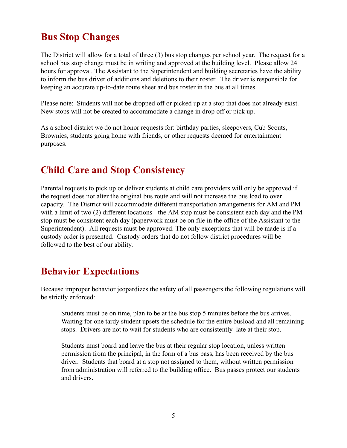## **Bus Stop Changes**

The District will allow for a total of three (3) bus stop changes per school year. The request for a school bus stop change must be in writing and approved at the building level. Please allow 24 hours for approval. The Assistant to the Superintendent and building secretaries have the ability to inform the bus driver of additions and deletions to their roster. The driver is responsible for keeping an accurate up-to-date route sheet and bus roster in the bus at all times.

Please note: Students will not be dropped off or picked up at a stop that does not already exist. New stops will not be created to accommodate a change in drop off or pick up.

As a school district we do not honor requests for: birthday parties, sleepovers, Cub Scouts, Brownies, students going home with friends, or other requests deemed for entertainment purposes.

#### **Child Care and Stop Consistency**

Parental requests to pick up or deliver students at child care providers will only be approved if the request does not alter the original bus route and will not increase the bus load to over capacity. The District will accommodate different transportation arrangements for AM and PM with a limit of two (2) different locations - the AM stop must be consistent each day and the PM stop must be consistent each day (paperwork must be on file in the office of the Assistant to the Superintendent). All requests must be approved. The only exceptions that will be made is if a custody order is presented. Custody orders that do not follow district procedures will be followed to the best of our ability.

#### **Behavior Expectations**

Because improper behavior jeopardizes the safety of all passengers the following regulations will be strictly enforced:

Students must be on time, plan to be at the bus stop 5 minutes before the bus arrives. Waiting for one tardy student upsets the schedule for the entire busload and all remaining stops. Drivers are not to wait for students who are consistently late at their stop.

Students must board and leave the bus at their regular stop location, unless written permission from the principal, in the form of a bus pass, has been received by the bus driver. Students that board at a stop not assigned to them, without written permission from administration will referred to the building office. Bus passes protect our students and drivers.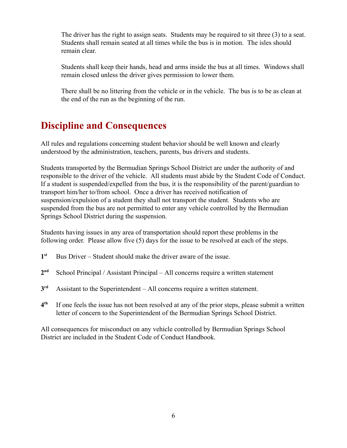The driver has the right to assign seats. Students may be required to sit three (3) to a seat. Students shall remain seated at all times while the bus is in motion. The isles should remain clear.

Students shall keep their hands, head and arms inside the bus at all times. Windows shall remain closed unless the driver gives permission to lower them.

There shall be no littering from the vehicle or in the vehicle. The bus is to be as clean at the end of the run as the beginning of the run.

## **Discipline and Consequences**

All rules and regulations concerning student behavior should be well known and clearly understood by the administration, teachers, parents, bus drivers and students.

Students transported by the Bermudian Springs School District are under the authority of and responsible to the driver of the vehicle. All students must abide by the Student Code of Conduct. If a student is suspended/expelled from the bus, it is the responsibility of the parent/guardian to transport him/her to/from school. Once a driver has received notification of suspension/expulsion of a student they shall not transport the student. Students who are suspended from the bus are not permitted to enter any vehicle controlled by the Bermudian Springs School District during the suspension.

Students having issues in any area of transportation should report these problems in the following order. Please allow five (5) days for the issue to be resolved at each of the steps.

- **1** Bus Driver – Student should make the driver aware of the issue.
- **2** School Principal / Assistant Principal – All concerns require a written statement
- **3** Assistant to the Superintendent – All concerns require a written statement.
- **4 th** If one feels the issue has not been resolved at any of the prior steps, please submit a written letter of concern to the Superintendent of the Bermudian Springs School District.

All consequences for misconduct on any vehicle controlled by Bermudian Springs School District are included in the Student Code of Conduct Handbook.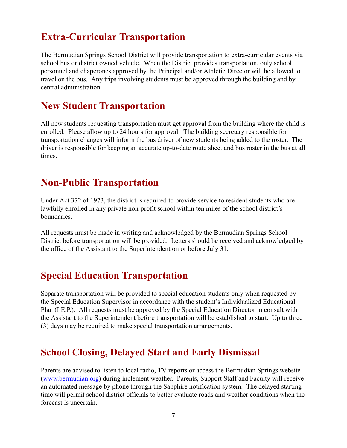#### **Extra-Curricular Transportation**

The Bermudian Springs School District will provide transportation to extra-curricular events via school bus or district owned vehicle. When the District provides transportation, only school personnel and chaperones approved by the Principal and/or Athletic Director will be allowed to travel on the bus. Any trips involving students must be approved through the building and by central administration.

#### **New Student Transportation**

All new students requesting transportation must get approval from the building where the child is enrolled. Please allow up to 24 hours for approval. The building secretary responsible for transportation changes will inform the bus driver of new students being added to the roster. The driver is responsible for keeping an accurate up-to-date route sheet and bus roster in the bus at all times.

#### **Non-Public Transportation**

Under Act 372 of 1973, the district is required to provide service to resident students who are lawfully enrolled in any private non-profit school within ten miles of the school district's **boundaries** 

All requests must be made in writing and acknowledged by the Bermudian Springs School District before transportation will be provided. Letters should be received and acknowledged by the office of the Assistant to the Superintendent on or before July 31.

#### **Special Education Transportation**

Separate transportation will be provided to special education students only when requested by the Special Education Supervisor in accordance with the student's Individualized Educational Plan (I.E.P.). All requests must be approved by the Special Education Director in consult with the Assistant to the Superintendent before transportation will be established to start. Up to three (3) days may be required to make special transportation arrangements.

#### **School Closing, Delayed Start and Early Dismissal**

Parents are advised to listen to local radio, TV reports or access the Bermudian Springs website ([www.bermudian.org](http://www.bermudian.org/)) during inclement weather. Parents, Support Staff and Faculty will receive an automated message by phone through the Sapphire notification system. The delayed starting time will permit school district officials to better evaluate roads and weather conditions when the forecast is uncertain.